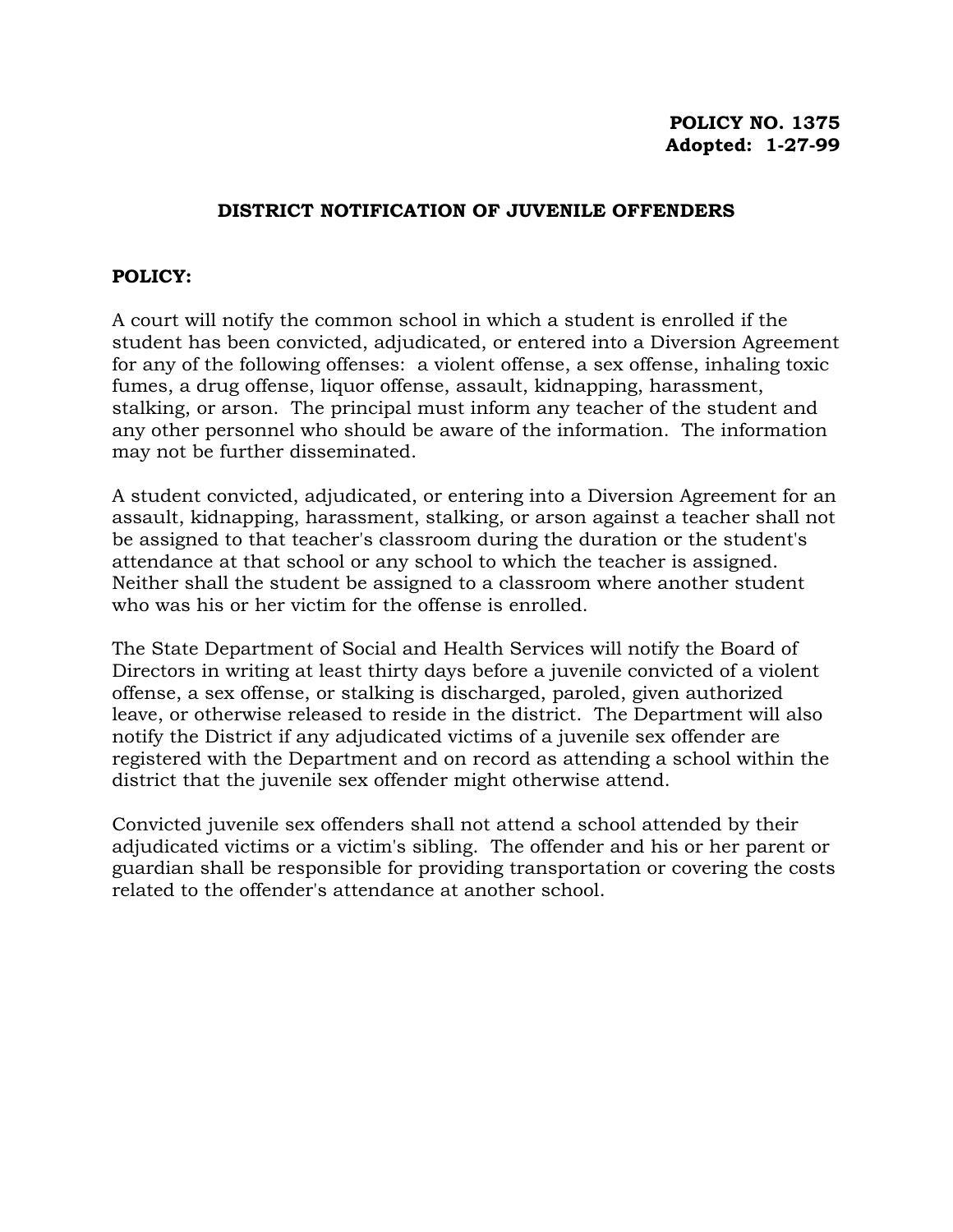## **POLICY NO. 1375 Adopted: 1-27-99**

## **DISTRICT NOTIFICATION OF JUVENILE OFFENDERS**

## **POLICY:**

A court will notify the common school in which a student is enrolled if the student has been convicted, adjudicated, or entered into a Diversion Agreement for any of the following offenses: a violent offense, a sex offense, inhaling toxic fumes, a drug offense, liquor offense, assault, kidnapping, harassment, stalking, or arson. The principal must inform any teacher of the student and any other personnel who should be aware of the information. The information may not be further disseminated.

A student convicted, adjudicated, or entering into a Diversion Agreement for an assault, kidnapping, harassment, stalking, or arson against a teacher shall not be assigned to that teacher's classroom during the duration or the student's attendance at that school or any school to which the teacher is assigned. Neither shall the student be assigned to a classroom where another student who was his or her victim for the offense is enrolled.

The State Department of Social and Health Services will notify the Board of Directors in writing at least thirty days before a juvenile convicted of a violent offense, a sex offense, or stalking is discharged, paroled, given authorized leave, or otherwise released to reside in the district. The Department will also notify the District if any adjudicated victims of a juvenile sex offender are registered with the Department and on record as attending a school within the district that the juvenile sex offender might otherwise attend.

Convicted juvenile sex offenders shall not attend a school attended by their adjudicated victims or a victim's sibling. The offender and his or her parent or guardian shall be responsible for providing transportation or covering the costs related to the offender's attendance at another school.